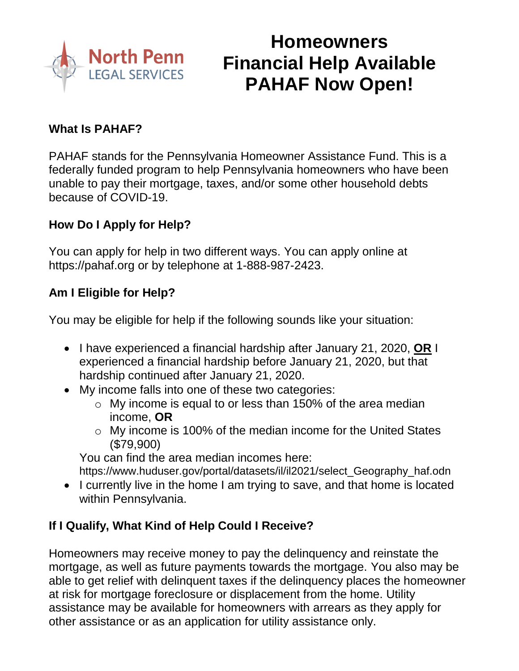

# **Homeowners Financial Help Available PAHAF Now Open!**

#### **What Is PAHAF?**

PAHAF stands for the Pennsylvania Homeowner Assistance Fund. This is a federally funded program to help Pennsylvania homeowners who have been unable to pay their mortgage, taxes, and/or some other household debts because of COVID-19.

#### **How Do I Apply for Help?**

You can apply for help in two different ways. You can apply online at [https://pahaf.org](https://pahaf.org/) or by telephone at 1-888-987-2423.

#### **Am I Eligible for Help?**

You may be eligible for help if the following sounds like your situation:

- I have experienced a financial hardship after January 21, 2020, **OR** I experienced a financial hardship before January 21, 2020, but that hardship continued after January 21, 2020.
- My income falls into one of these two categories:
	- $\circ$  My income is equal to or less than 150% of the area median income, **OR**
	- o My income is 100% of the median income for the United States (\$79,900)

You can find the area median incomes here:

[https://www.huduser.gov/portal/datasets/il/il2021/select\\_Geography\\_haf.odn](https://www.huduser.gov/portal/datasets/il/il2021/select_Geography_haf.odn)

• I currently live in the home I am trying to save, and that home is located within Pennsylvania.

#### **If I Qualify, What Kind of Help Could I Receive?**

Homeowners may receive money to pay the delinquency and reinstate the mortgage, as well as future payments towards the mortgage. You also may be able to get relief with delinquent taxes if the delinquency places the homeowner at risk for mortgage foreclosure or displacement from the home. Utility assistance may be available for homeowners with arrears as they apply for other assistance or as an application for utility assistance only.